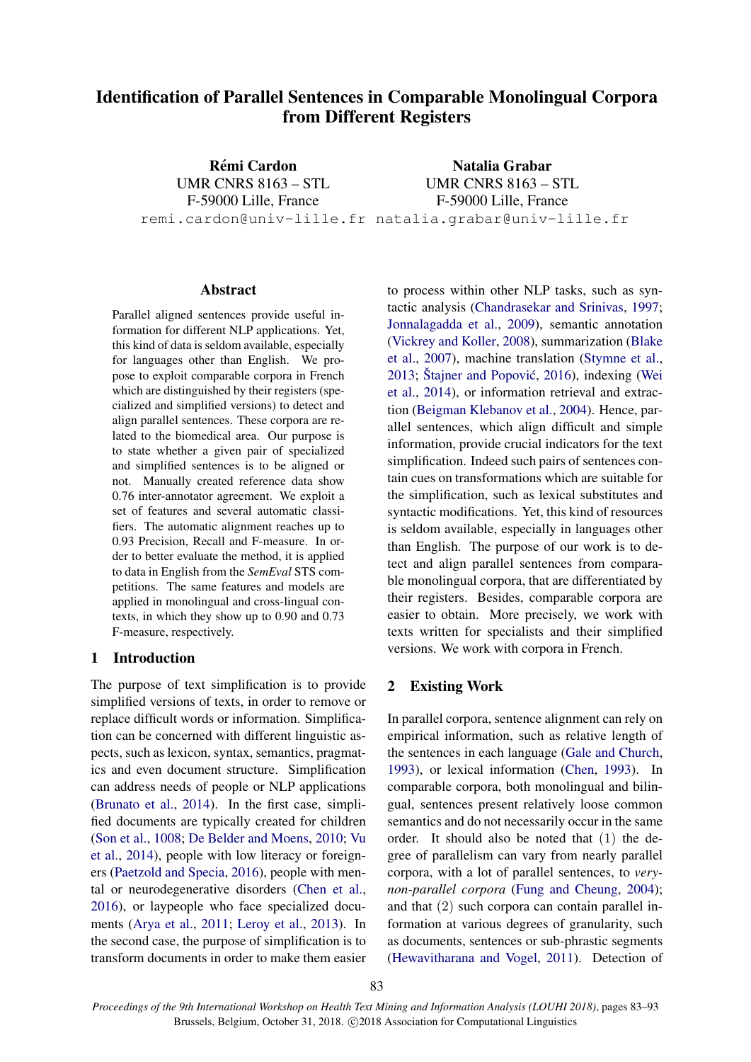# Identification of Parallel Sentences in Comparable Monolingual Corpora from Different Registers

**Rémi Cardon** UMR CNRS 8163 – STL F-59000 Lille, France remi.cardon@univ-lille.fr natalia.grabar@univ-lille.fr Natalia Grabar UMR CNRS 8163 – STL F-59000 Lille, France

#### Abstract

Parallel aligned sentences provide useful information for different NLP applications. Yet, this kind of data is seldom available, especially for languages other than English. We propose to exploit comparable corpora in French which are distinguished by their registers (specialized and simplified versions) to detect and align parallel sentences. These corpora are related to the biomedical area. Our purpose is to state whether a given pair of specialized and simplified sentences is to be aligned or not. Manually created reference data show 0.76 inter-annotator agreement. We exploit a set of features and several automatic classifiers. The automatic alignment reaches up to 0.93 Precision, Recall and F-measure. In order to better evaluate the method, it is applied to data in English from the *SemEval* STS competitions. The same features and models are applied in monolingual and cross-lingual contexts, in which they show up to 0.90 and 0.73 F-measure, respectively.

#### 1 Introduction

The purpose of text simplification is to provide simplified versions of texts, in order to remove or replace difficult words or information. Simplification can be concerned with different linguistic aspects, such as lexicon, syntax, semantics, pragmatics and even document structure. Simplification can address needs of people or NLP applications [\(Brunato et al.,](#page-8-0) [2014\)](#page-8-0). In the first case, simplified documents are typically created for children [\(Son et al.,](#page-9-0) [1008;](#page-9-0) [De Belder and Moens,](#page-8-1) [2010;](#page-8-1) [Vu](#page-10-0) [et al.,](#page-10-0) [2014\)](#page-10-0), people with low literacy or foreigners [\(Paetzold and Specia,](#page-9-1) [2016\)](#page-9-1), people with mental or neurodegenerative disorders [\(Chen et al.,](#page-8-2) [2016\)](#page-8-2), or laypeople who face specialized documents [\(Arya et al.,](#page-8-3) [2011;](#page-8-3) [Leroy et al.,](#page-9-2) [2013\)](#page-9-2). In the second case, the purpose of simplification is to transform documents in order to make them easier to process within other NLP tasks, such as syntactic analysis [\(Chandrasekar and Srinivas,](#page-8-4) [1997;](#page-8-4) [Jonnalagadda et al.,](#page-8-5) [2009\)](#page-8-5), semantic annotation [\(Vickrey and Koller,](#page-10-1) [2008\)](#page-10-1), summarization [\(Blake](#page-8-6) [et al.,](#page-8-6) [2007\)](#page-8-6), machine translation [\(Stymne et al.,](#page-9-3)  $2013$ ; [Stajner and Popovi](#page-10-2)ć, [2016\)](#page-10-2), indexing [\(Wei](#page-10-3) [et al.,](#page-10-3) [2014\)](#page-10-3), or information retrieval and extraction [\(Beigman Klebanov et al.,](#page-8-7) [2004\)](#page-8-7). Hence, parallel sentences, which align difficult and simple information, provide crucial indicators for the text simplification. Indeed such pairs of sentences contain cues on transformations which are suitable for the simplification, such as lexical substitutes and syntactic modifications. Yet, this kind of resources is seldom available, especially in languages other than English. The purpose of our work is to detect and align parallel sentences from comparable monolingual corpora, that are differentiated by their registers. Besides, comparable corpora are easier to obtain. More precisely, we work with texts written for specialists and their simplified versions. We work with corpora in French.

## 2 Existing Work

In parallel corpora, sentence alignment can rely on empirical information, such as relative length of the sentences in each language [\(Gale and Church,](#page-8-8) [1993\)](#page-8-8), or lexical information [\(Chen,](#page-8-9) [1993\)](#page-8-9). In comparable corpora, both monolingual and bilingual, sentences present relatively loose common semantics and do not necessarily occur in the same order. It should also be noted that (1) the degree of parallelism can vary from nearly parallel corpora, with a lot of parallel sentences, to *verynon-parallel corpora* [\(Fung and Cheung,](#page-8-10) [2004\)](#page-8-10); and that (2) such corpora can contain parallel information at various degrees of granularity, such as documents, sentences or sub-phrastic segments [\(Hewavitharana and Vogel,](#page-8-11) [2011\)](#page-8-11). Detection of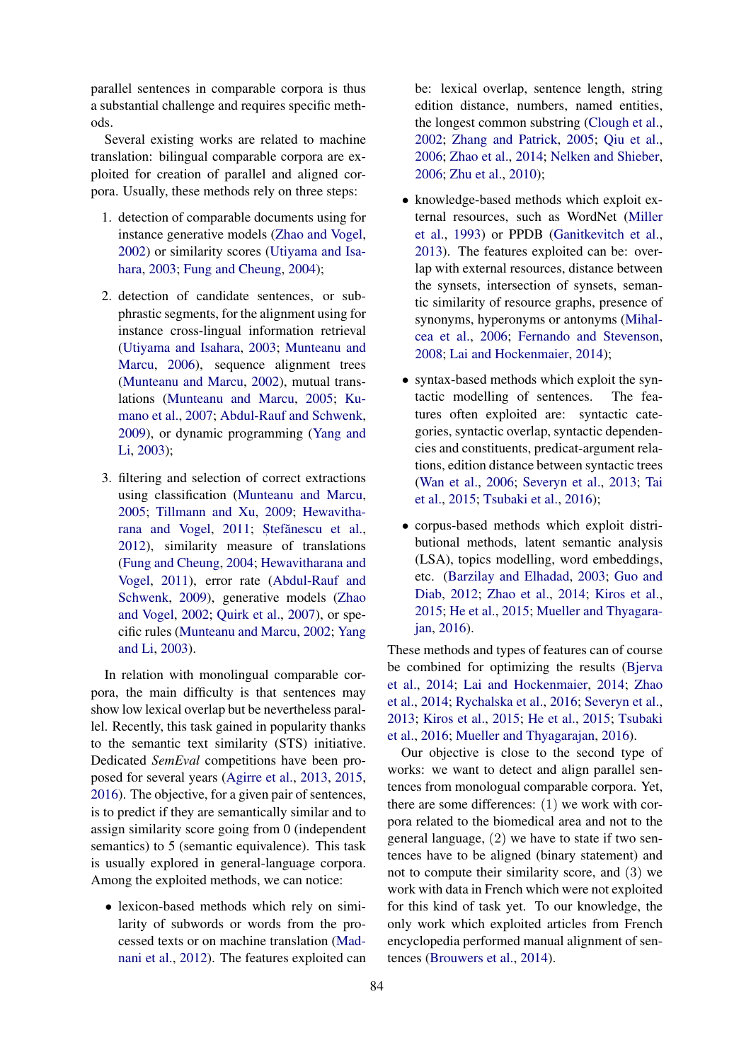parallel sentences in comparable corpora is thus a substantial challenge and requires specific methods.

Several existing works are related to machine translation: bilingual comparable corpora are exploited for creation of parallel and aligned corpora. Usually, these methods rely on three steps:

- 1. detection of comparable documents using for instance generative models [\(Zhao and Vogel,](#page-10-4) [2002\)](#page-10-4) or similarity scores [\(Utiyama and Isa](#page-9-4)[hara,](#page-9-4) [2003;](#page-9-4) [Fung and Cheung,](#page-8-10) [2004\)](#page-8-10);
- 2. detection of candidate sentences, or subphrastic segments, for the alignment using for instance cross-lingual information retrieval [\(Utiyama and Isahara,](#page-9-4) [2003;](#page-9-4) [Munteanu and](#page-9-5) [Marcu,](#page-9-5) [2006\)](#page-9-5), sequence alignment trees [\(Munteanu and Marcu,](#page-9-6) [2002\)](#page-9-6), mutual translations [\(Munteanu and Marcu,](#page-9-7) [2005;](#page-9-7) [Ku](#page-8-12)[mano et al.,](#page-8-12) [2007;](#page-8-12) [Abdul-Rauf and Schwenk,](#page-7-0) [2009\)](#page-7-0), or dynamic programming [\(Yang and](#page-10-5) [Li,](#page-10-5) [2003\)](#page-10-5);
- 3. filtering and selection of correct extractions using classification [\(Munteanu and Marcu,](#page-9-7) [2005;](#page-9-7) [Tillmann and Xu,](#page-9-8) [2009;](#page-9-8) [Hewavitha](#page-8-11)[rana and Vogel,](#page-8-11) [2011;](#page-8-11) Ştefănescu et al., [2012\)](#page-10-6), similarity measure of translations [\(Fung and Cheung,](#page-8-10) [2004;](#page-8-10) [Hewavitharana and](#page-8-11) [Vogel,](#page-8-11) [2011\)](#page-8-11), error rate [\(Abdul-Rauf and](#page-7-0) [Schwenk,](#page-7-0) [2009\)](#page-7-0), generative models [\(Zhao](#page-10-4) [and Vogel,](#page-10-4) [2002;](#page-10-4) [Quirk et al.,](#page-9-9) [2007\)](#page-9-9), or specific rules [\(Munteanu and Marcu,](#page-9-6) [2002;](#page-9-6) [Yang](#page-10-5) [and Li,](#page-10-5) [2003\)](#page-10-5).

In relation with monolingual comparable corpora, the main difficulty is that sentences may show low lexical overlap but be nevertheless parallel. Recently, this task gained in popularity thanks to the semantic text similarity (STS) initiative. Dedicated *SemEval* competitions have been proposed for several years [\(Agirre et al.,](#page-7-1) [2013,](#page-7-1) [2015,](#page-7-2) [2016\)](#page-7-3). The objective, for a given pair of sentences, is to predict if they are semantically similar and to assign similarity score going from 0 (independent semantics) to 5 (semantic equivalence). This task is usually explored in general-language corpora. Among the exploited methods, we can notice:

• lexicon-based methods which rely on similarity of subwords or words from the processed texts or on machine translation [\(Mad](#page-9-10)[nani et al.,](#page-9-10) [2012\)](#page-9-10). The features exploited can be: lexical overlap, sentence length, string edition distance, numbers, named entities, the longest common substring [\(Clough et al.,](#page-8-13) [2002;](#page-8-13) [Zhang and Patrick,](#page-10-7) [2005;](#page-10-7) [Qiu et al.,](#page-9-11) [2006;](#page-9-11) [Zhao et al.,](#page-10-8) [2014;](#page-10-8) [Nelken and Shieber,](#page-9-12) [2006;](#page-9-12) [Zhu et al.,](#page-10-9) [2010\)](#page-10-9);

- knowledge-based methods which exploit external resources, such as WordNet [\(Miller](#page-9-13) [et al.,](#page-9-13) [1993\)](#page-9-13) or PPDB [\(Ganitkevitch et al.,](#page-8-14) [2013\)](#page-8-14). The features exploited can be: overlap with external resources, distance between the synsets, intersection of synsets, semantic similarity of resource graphs, presence of synonyms, hyperonyms or antonyms [\(Mihal](#page-9-14)[cea et al.,](#page-9-14) [2006;](#page-9-14) [Fernando and Stevenson,](#page-8-15) [2008;](#page-8-15) [Lai and Hockenmaier,](#page-9-15) [2014\)](#page-9-15);
- syntax-based methods which exploit the syntactic modelling of sentences. The features often exploited are: syntactic categories, syntactic overlap, syntactic dependencies and constituents, predicat-argument relations, edition distance between syntactic trees [\(Wan et al.,](#page-10-10) [2006;](#page-10-10) [Severyn et al.,](#page-9-16) [2013;](#page-9-16) [Tai](#page-9-17) [et al.,](#page-9-17) [2015;](#page-9-17) [Tsubaki et al.,](#page-9-18) [2016\)](#page-9-18);
- corpus-based methods which exploit distributional methods, latent semantic analysis (LSA), topics modelling, word embeddings, etc. [\(Barzilay and Elhadad,](#page-8-16) [2003;](#page-8-16) [Guo and](#page-8-17) [Diab,](#page-8-17) [2012;](#page-8-17) [Zhao et al.,](#page-10-8) [2014;](#page-10-8) [Kiros et al.,](#page-8-18) [2015;](#page-8-18) [He et al.,](#page-8-19) [2015;](#page-8-19) [Mueller and Thyagara](#page-9-19)[jan,](#page-9-19) [2016\)](#page-9-19).

These methods and types of features can of course be combined for optimizing the results [\(Bjerva](#page-8-20) [et al.,](#page-8-20) [2014;](#page-8-20) [Lai and Hockenmaier,](#page-9-15) [2014;](#page-9-15) [Zhao](#page-10-8) [et al.,](#page-10-8) [2014;](#page-10-8) [Rychalska et al.,](#page-9-20) [2016;](#page-9-20) [Severyn et al.,](#page-9-16) [2013;](#page-9-16) [Kiros et al.,](#page-8-18) [2015;](#page-8-18) [He et al.,](#page-8-19) [2015;](#page-8-19) [Tsubaki](#page-9-18) [et al.,](#page-9-18) [2016;](#page-9-18) [Mueller and Thyagarajan,](#page-9-19) [2016\)](#page-9-19).

Our objective is close to the second type of works: we want to detect and align parallel sentences from monologual comparable corpora. Yet, there are some differences: (1) we work with corpora related to the biomedical area and not to the general language, (2) we have to state if two sentences have to be aligned (binary statement) and not to compute their similarity score, and (3) we work with data in French which were not exploited for this kind of task yet. To our knowledge, the only work which exploited articles from French encyclopedia performed manual alignment of sentences [\(Brouwers et al.,](#page-8-21) [2014\)](#page-8-21).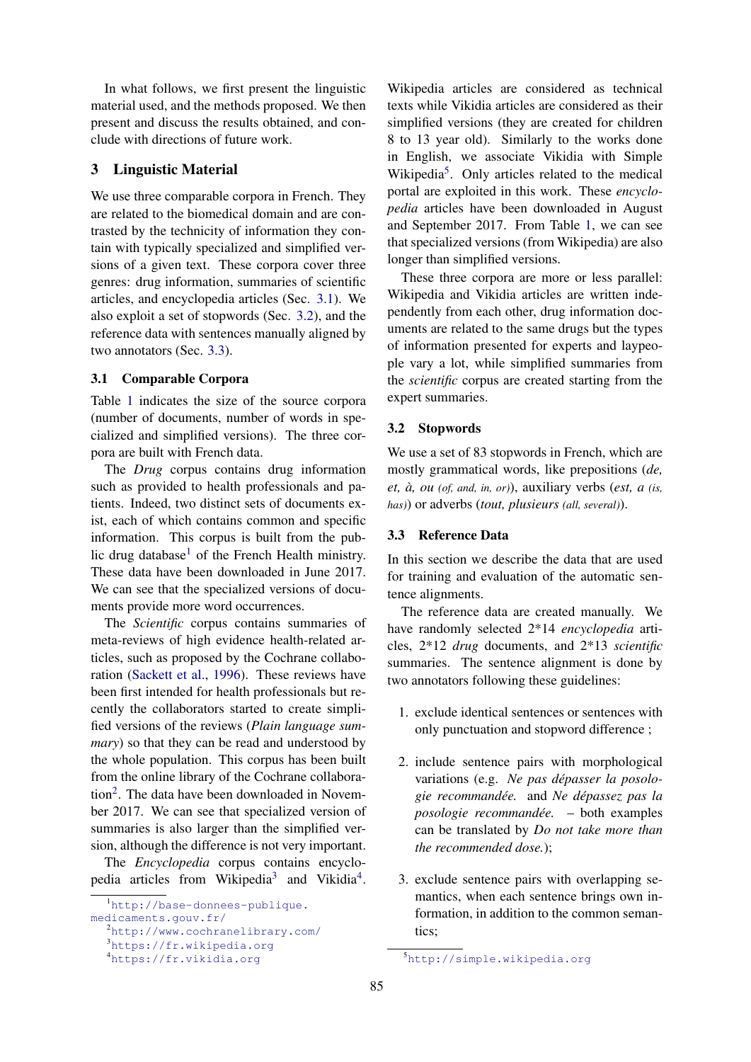In what follows, we first present the linguistic material used, and the methods proposed. We then present and discuss the results obtained, and conclude with directions of future work.

## 3 Linguistic Material

We use three comparable corpora in French. They are related to the biomedical domain and are contrasted by the technicity of information they contain with typically specialized and simplified versions of a given text. These corpora cover three genres: drug information, summaries of scientific articles, and encyclopedia articles (Sec. [3.1\)](#page-2-0). We also exploit a set of stopwords (Sec. [3.2\)](#page-2-1), and the reference data with sentences manually aligned by two annotators (Sec. [3.3\)](#page-2-2).

## <span id="page-2-0"></span>3.1 Comparable Corpora

Table [1](#page-3-0) indicates the size of the source corpora (number of documents, number of words in specialized and simplified versions). The three corpora are built with French data.

The *Drug* corpus contains drug information such as provided to health professionals and patients. Indeed, two distinct sets of documents exist, each of which contains common and specific information. This corpus is built from the pub-lic drug database<sup>[1](#page-2-3)</sup> of the French Health ministry. These data have been downloaded in June 2017. We can see that the specialized versions of documents provide more word occurrences.

The *Scientific* corpus contains summaries of meta-reviews of high evidence health-related articles, such as proposed by the Cochrane collaboration [\(Sackett et al.,](#page-9-21) [1996\)](#page-9-21). These reviews have been first intended for health professionals but recently the collaborators started to create simplified versions of the reviews (*Plain language summary*) so that they can be read and understood by the whole population. This corpus has been built from the online library of the Cochrane collabora-tion<sup>[2](#page-2-4)</sup>. The data have been downloaded in November 2017. We can see that specialized version of summaries is also larger than the simplified version, although the difference is not very important.

The *Encyclopedia* corpus contains encyclo-pedia articles from Wikipedia<sup>[3](#page-2-5)</sup> and Vikidia<sup>[4](#page-2-6)</sup>.

Wikipedia articles are considered as technical texts while Vikidia articles are considered as their simplified versions (they are created for children 8 to 13 year old). Similarly to the works done in English, we associate Vikidia with Simple Wikipedia<sup>[5](#page-2-7)</sup>. Only articles related to the medical portal are exploited in this work. These *encyclopedia* articles have been downloaded in August and September 2017. From Table [1,](#page-3-0) we can see that specialized versions (from Wikipedia) are also longer than simplified versions.

These three corpora are more or less parallel: Wikipedia and Vikidia articles are written independently from each other, drug information documents are related to the same drugs but the types of information presented for experts and laypeople vary a lot, while simplified summaries from the *scientific* corpus are created starting from the expert summaries.

#### <span id="page-2-1"></span>3.2 Stopwords

We use a set of 83 stopwords in French, which are mostly grammatical words, like prepositions (*de, et, a, ou ` (of, and, in, or)*), auxiliary verbs (*est, a (is, has)*) or adverbs (*tout, plusieurs (all, several)*).

#### <span id="page-2-2"></span>3.3 Reference Data

In this section we describe the data that are used for training and evaluation of the automatic sentence alignments.

The reference data are created manually. We have randomly selected 2\*14 *encyclopedia* articles, 2\*12 *drug* documents, and 2\*13 *scientific* summaries. The sentence alignment is done by two annotators following these guidelines:

- 1. exclude identical sentences or sentences with only punctuation and stopword difference ;
- 2. include sentence pairs with morphological variations (e.g. *Ne pas depasser la posolo- ´ gie recommandee. ´* and *Ne depassez pas la ´ posologie recommandee. ´* – both examples can be translated by *Do not take more than the recommended dose.*);
- 3. exclude sentence pairs with overlapping semantics, when each sentence brings own information, in addition to the common semantics;

<span id="page-2-3"></span><sup>&</sup>lt;sup>1</sup>[http://base-donnees-publique.](http://base-donnees-publique.medicaments.gouv.fr/)

[medicaments.gouv.fr/](http://base-donnees-publique.medicaments.gouv.fr/)

<span id="page-2-4"></span><sup>2</sup><http://www.cochranelibrary.com/>

<span id="page-2-5"></span><sup>3</sup><https://fr.wikipedia.org> <sup>4</sup><https://fr.vikidia.org>

<span id="page-2-6"></span>

<span id="page-2-7"></span><sup>5</sup><http://simple.wikipedia.org>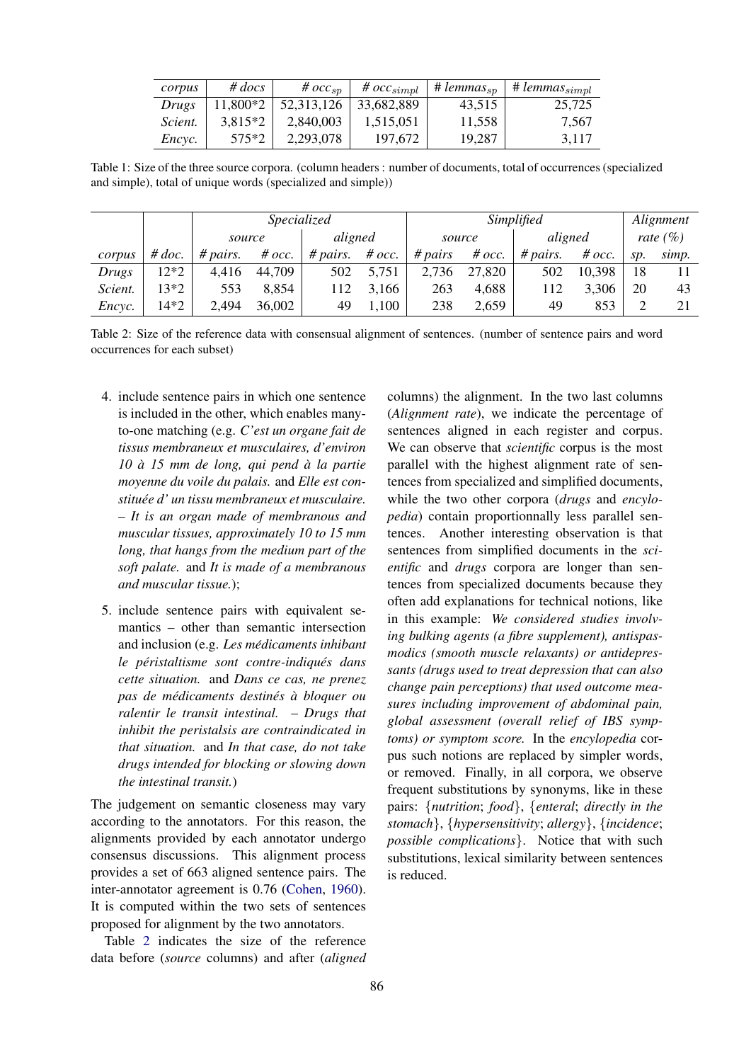| corpus  | $#$ docs  | # $occ_{sn}$ | # $occ_{simpl}$ | $#$ lemmas <sub>sp</sub> | $+$ # lemmas $_{simpl}$ |
|---------|-----------|--------------|-----------------|--------------------------|-------------------------|
| Drugs   | 11,800*2  | 52, 313, 126 | 33.682.889      | 43.515                   | 25.725                  |
| Scient. | $3.815*2$ | 2,840,003    | 1,515,051       | 11.558                   | 7.567                   |
| Encyc.  | $575*2$   | 2,293,078    | 197,672         | 19.287                   | 3.117                   |

<span id="page-3-0"></span>Table 1: Size of the three source corpora. (column headers : number of documents, total of occurrences (specialized and simple), total of unique words (specialized and simple))

|         |          | Specialized |          |          | Simplified |         |          |          | Alignment |              |       |
|---------|----------|-------------|----------|----------|------------|---------|----------|----------|-----------|--------------|-------|
|         |          | source      |          | aligned  |            | source  |          | aligned  |           | rate $(\% )$ |       |
| corpus  | # $doc.$ | # pairs.    | # $occ.$ | # pairs. | # $occ.$   | # pairs | # $occ.$ | # pairs. | $\#$ occ. | SD.          | simp. |
| Drugs   | 12*2     | 4,416       | 44.709   | 502      | 5,751      | 2,736   | 27,820   | 502      | 10,398    | 18           |       |
| Scient. | 13*2     | 553         | 8,854    | 112      | 3,166      | 263     | 4,688    | 112      | 3,306     | 20           | 43    |
| Encyc.  | 14*2     | 2,494       | 36,002   | 49       | ,100       | 238     | 2,659    | 49       | 853       |              | 21    |

<span id="page-3-1"></span>Table 2: Size of the reference data with consensual alignment of sentences. (number of sentence pairs and word occurrences for each subset)

- 4. include sentence pairs in which one sentence is included in the other, which enables manyto-one matching (e.g. *C'est un organe fait de tissus membraneux et musculaires, d'environ*  $10 \text{ à } 15 \text{ mm}$  *de long, qui pend à la partie moyenne du voile du palais.* and *Elle est constituee d' un tissu membraneux et musculaire. ´* – *It is an organ made of membranous and muscular tissues, approximately 10 to 15 mm long, that hangs from the medium part of the soft palate.* and *It is made of a membranous and muscular tissue.*);
- 5. include sentence pairs with equivalent semantics – other than semantic intersection and inclusion (e.g. *Les medicaments inhibant ´ le péristaltisme sont contre-indiqués dans cette situation.* and *Dans ce cas, ne prenez pas de médicaments destinés à bloquer ou ralentir le transit intestinal.* – *Drugs that inhibit the peristalsis are contraindicated in that situation.* and *In that case, do not take drugs intended for blocking or slowing down the intestinal transit.*)

The judgement on semantic closeness may vary according to the annotators. For this reason, the alignments provided by each annotator undergo consensus discussions. This alignment process provides a set of 663 aligned sentence pairs. The inter-annotator agreement is 0.76 [\(Cohen,](#page-8-22) [1960\)](#page-8-22). It is computed within the two sets of sentences proposed for alignment by the two annotators.

Table [2](#page-3-1) indicates the size of the reference data before (*source* columns) and after (*aligned*

columns) the alignment. In the two last columns (*Alignment rate*), we indicate the percentage of sentences aligned in each register and corpus. We can observe that *scientific* corpus is the most parallel with the highest alignment rate of sentences from specialized and simplified documents, while the two other corpora (*drugs* and *encylopedia*) contain proportionnally less parallel sentences. Another interesting observation is that sentences from simplified documents in the *scientific* and *drugs* corpora are longer than sentences from specialized documents because they often add explanations for technical notions, like in this example: *We considered studies involving bulking agents (a fibre supplement), antispasmodics (smooth muscle relaxants) or antidepressants (drugs used to treat depression that can also change pain perceptions) that used outcome measures including improvement of abdominal pain, global assessment (overall relief of IBS symptoms) or symptom score.* In the *encylopedia* corpus such notions are replaced by simpler words, or removed. Finally, in all corpora, we observe frequent substitutions by synonyms, like in these pairs: {*nutrition*; *food*}, {*enteral*; *directly in the stomach*}, {*hypersensitivity*; *allergy*}, {*incidence*; *possible complications*}. Notice that with such substitutions, lexical similarity between sentences is reduced.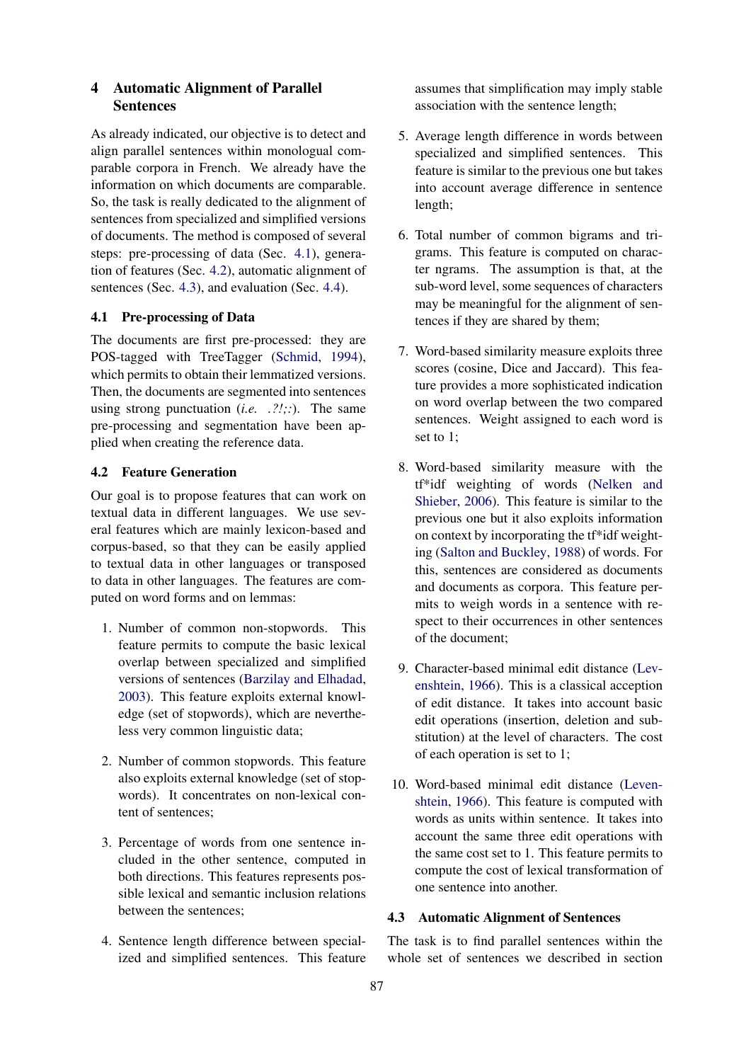## 4 Automatic Alignment of Parallel Sentences

As already indicated, our objective is to detect and align parallel sentences within monologual comparable corpora in French. We already have the information on which documents are comparable. So, the task is really dedicated to the alignment of sentences from specialized and simplified versions of documents. The method is composed of several steps: pre-processing of data (Sec. [4.1\)](#page-4-0), generation of features (Sec. [4.2\)](#page-4-1), automatic alignment of sentences (Sec. [4.3\)](#page-4-2), and evaluation (Sec. [4.4\)](#page-5-0).

## <span id="page-4-0"></span>4.1 Pre-processing of Data

The documents are first pre-processed: they are POS-tagged with TreeTagger [\(Schmid,](#page-9-22) [1994\)](#page-9-22), which permits to obtain their lemmatized versions. Then, the documents are segmented into sentences using strong punctuation (*i.e. .?!;:*). The same pre-processing and segmentation have been applied when creating the reference data.

## <span id="page-4-1"></span>4.2 Feature Generation

Our goal is to propose features that can work on textual data in different languages. We use several features which are mainly lexicon-based and corpus-based, so that they can be easily applied to textual data in other languages or transposed to data in other languages. The features are computed on word forms and on lemmas:

- 1. Number of common non-stopwords. This feature permits to compute the basic lexical overlap between specialized and simplified versions of sentences [\(Barzilay and Elhadad,](#page-8-16) [2003\)](#page-8-16). This feature exploits external knowledge (set of stopwords), which are nevertheless very common linguistic data;
- 2. Number of common stopwords. This feature also exploits external knowledge (set of stopwords). It concentrates on non-lexical content of sentences;
- 3. Percentage of words from one sentence included in the other sentence, computed in both directions. This features represents possible lexical and semantic inclusion relations between the sentences;
- 4. Sentence length difference between specialized and simplified sentences. This feature

assumes that simplification may imply stable association with the sentence length;

- 5. Average length difference in words between specialized and simplified sentences. This feature is similar to the previous one but takes into account average difference in sentence length;
- 6. Total number of common bigrams and trigrams. This feature is computed on character ngrams. The assumption is that, at the sub-word level, some sequences of characters may be meaningful for the alignment of sentences if they are shared by them;
- 7. Word-based similarity measure exploits three scores (cosine, Dice and Jaccard). This feature provides a more sophisticated indication on word overlap between the two compared sentences. Weight assigned to each word is set to 1;
- 8. Word-based similarity measure with the tf\*idf weighting of words [\(Nelken and](#page-9-12) [Shieber,](#page-9-12) [2006\)](#page-9-12). This feature is similar to the previous one but it also exploits information on context by incorporating the tf\*idf weighting [\(Salton and Buckley,](#page-9-23) [1988\)](#page-9-23) of words. For this, sentences are considered as documents and documents as corpora. This feature permits to weigh words in a sentence with respect to their occurrences in other sentences of the document;
- 9. Character-based minimal edit distance [\(Lev](#page-9-24)[enshtein,](#page-9-24) [1966\)](#page-9-24). This is a classical acception of edit distance. It takes into account basic edit operations (insertion, deletion and substitution) at the level of characters. The cost of each operation is set to 1;
- 10. Word-based minimal edit distance [\(Leven](#page-9-24)[shtein,](#page-9-24) [1966\)](#page-9-24). This feature is computed with words as units within sentence. It takes into account the same three edit operations with the same cost set to 1. This feature permits to compute the cost of lexical transformation of one sentence into another.

# <span id="page-4-2"></span>4.3 Automatic Alignment of Sentences

The task is to find parallel sentences within the whole set of sentences we described in section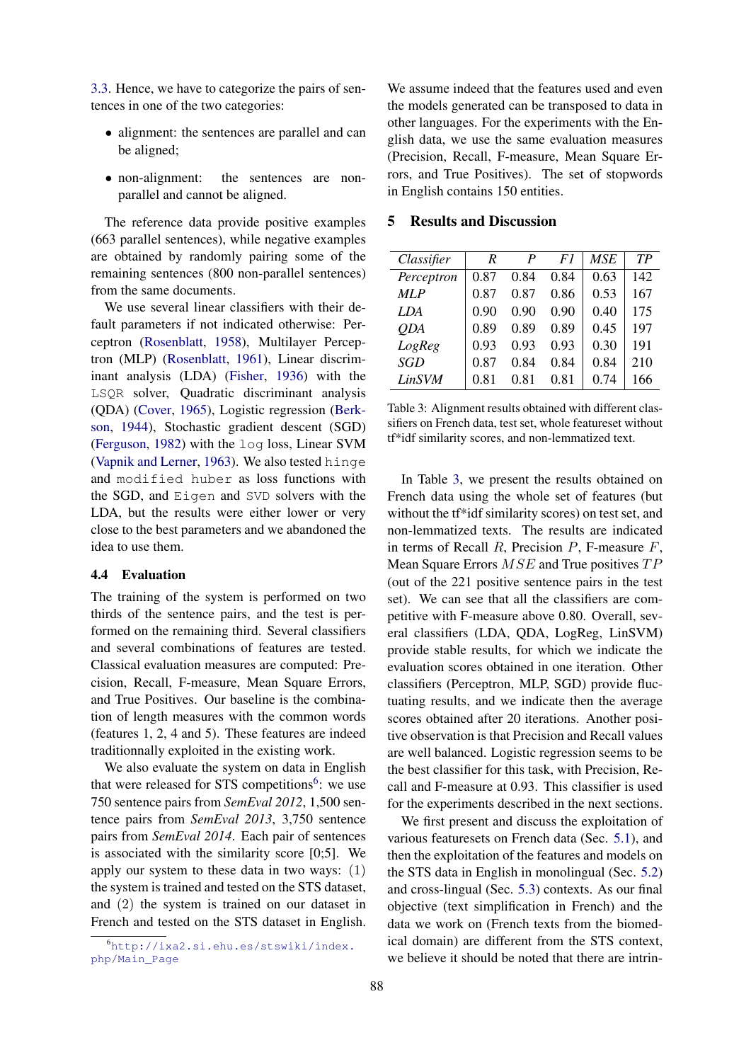[3.3.](#page-2-2) Hence, we have to categorize the pairs of sentences in one of the two categories:

- alignment: the sentences are parallel and can be aligned;
- non-alignment: the sentences are nonparallel and cannot be aligned.

The reference data provide positive examples (663 parallel sentences), while negative examples are obtained by randomly pairing some of the remaining sentences (800 non-parallel sentences) from the same documents.

We use several linear classifiers with their default parameters if not indicated otherwise: Perceptron [\(Rosenblatt,](#page-9-25) [1958\)](#page-9-25), Multilayer Perceptron (MLP) [\(Rosenblatt,](#page-9-26) [1961\)](#page-9-26), Linear discriminant analysis (LDA) [\(Fisher,](#page-8-23) [1936\)](#page-8-23) with the LSQR solver, Quadratic discriminant analysis (QDA) [\(Cover,](#page-8-24) [1965\)](#page-8-24), Logistic regression [\(Berk](#page-8-25)[son,](#page-8-25) [1944\)](#page-8-25), Stochastic gradient descent (SGD) [\(Ferguson,](#page-8-26) [1982\)](#page-8-26) with the log loss, Linear SVM [\(Vapnik and Lerner,](#page-10-11) [1963\)](#page-10-11). We also tested hinge and modified huber as loss functions with the SGD, and Eigen and SVD solvers with the LDA, but the results were either lower or very close to the best parameters and we abandoned the idea to use them.

## <span id="page-5-0"></span>4.4 Evaluation

The training of the system is performed on two thirds of the sentence pairs, and the test is performed on the remaining third. Several classifiers and several combinations of features are tested. Classical evaluation measures are computed: Precision, Recall, F-measure, Mean Square Errors, and True Positives. Our baseline is the combination of length measures with the common words (features 1, 2, 4 and 5). These features are indeed traditionnally exploited in the existing work.

We also evaluate the system on data in English that were released for STS competitions<sup>[6](#page-5-1)</sup>: we use 750 sentence pairs from *SemEval 2012*, 1,500 sentence pairs from *SemEval 2013*, 3,750 sentence pairs from *SemEval 2014*. Each pair of sentences is associated with the similarity score [0;5]. We apply our system to these data in two ways: (1) the system is trained and tested on the STS dataset, and (2) the system is trained on our dataset in French and tested on the STS dataset in English.

We assume indeed that the features used and even the models generated can be transposed to data in other languages. For the experiments with the English data, we use the same evaluation measures (Precision, Recall, F-measure, Mean Square Errors, and True Positives). The set of stopwords in English contains 150 entities.

## 5 Results and Discussion

| Classifier | R    | P    | F1   | MSE  | TР  |
|------------|------|------|------|------|-----|
|            |      |      |      |      |     |
| Perceptron | 0.87 | 0.84 | 0.84 | 0.63 | 142 |
| <b>MLP</b> | 0.87 | 0.87 | 0.86 | 0.53 | 167 |
| LDA        | 0.90 | 0.90 | 0.90 | 0.40 | 175 |
| <b>ODA</b> | 0.89 | 0.89 | 0.89 | 0.45 | 197 |
| LogReg     | 0.93 | 0.93 | 0.93 | 0.30 | 191 |
| SGD        | 0.87 | 0.84 | 0.84 | 0.84 | 210 |
| LinSVM     | 0.81 | 0.81 | 0.81 | 0.74 | 166 |

<span id="page-5-2"></span>Table 3: Alignment results obtained with different classifiers on French data, test set, whole featureset without tf\*idf similarity scores, and non-lemmatized text.

In Table [3,](#page-5-2) we present the results obtained on French data using the whole set of features (but without the tf\*idf similarity scores) on test set, and non-lemmatized texts. The results are indicated in terms of Recall  $R$ , Precision  $P$ , F-measure  $F$ , Mean Square Errors  $MSE$  and True positives  $TP$ (out of the 221 positive sentence pairs in the test set). We can see that all the classifiers are competitive with F-measure above 0.80. Overall, several classifiers (LDA, QDA, LogReg, LinSVM) provide stable results, for which we indicate the evaluation scores obtained in one iteration. Other classifiers (Perceptron, MLP, SGD) provide fluctuating results, and we indicate then the average scores obtained after 20 iterations. Another positive observation is that Precision and Recall values are well balanced. Logistic regression seems to be the best classifier for this task, with Precision, Recall and F-measure at 0.93. This classifier is used for the experiments described in the next sections.

We first present and discuss the exploitation of various featuresets on French data (Sec. [5.1\)](#page-6-0), and then the exploitation of the features and models on the STS data in English in monolingual (Sec. [5.2\)](#page-6-1) and cross-lingual (Sec. [5.3\)](#page-7-4) contexts. As our final objective (text simplification in French) and the data we work on (French texts from the biomedical domain) are different from the STS context, we believe it should be noted that there are intrin-

<span id="page-5-1"></span><sup>6</sup>[http://ixa2.si.ehu.es/stswiki/index.](http://ixa2.si.ehu.es/stswiki/index.php/Main_Page) [php/Main\\_Page](http://ixa2.si.ehu.es/stswiki/index.php/Main_Page)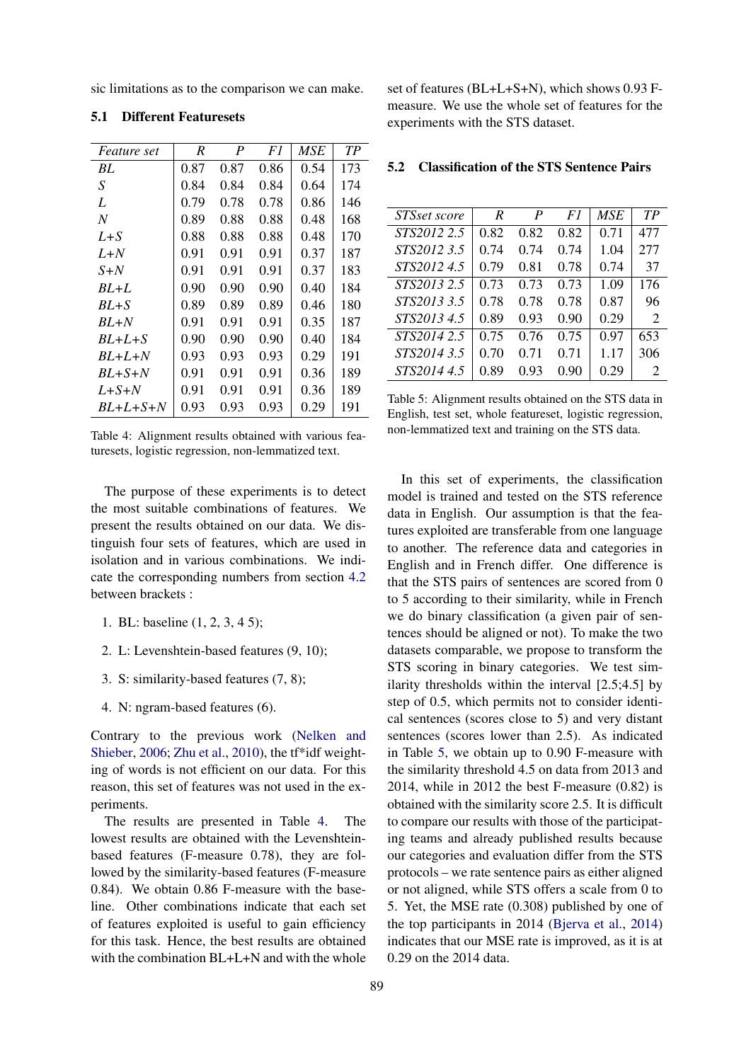sic limitations as to the comparison we can make.

| <i>Feature set</i> | R    | P    | F1   | MSE  | TР  |
|--------------------|------|------|------|------|-----|
| BL                 | 0.87 | 0.87 | 0.86 | 0.54 | 173 |
| S                  | 0.84 | 0.84 | 0.84 | 0.64 | 174 |
| L                  | 0.79 | 0.78 | 0.78 | 0.86 | 146 |
| N                  | 0.89 | 0.88 | 0.88 | 0.48 | 168 |
| $L + S$            | 0.88 | 0.88 | 0.88 | 0.48 | 170 |
| L+N                | 0.91 | 0.91 | 0.91 | 0.37 | 187 |
| $S+N$              | 0.91 | 0.91 | 0.91 | 0.37 | 183 |
| BL+L               | 0.90 | 0.90 | 0.90 | 0.40 | 184 |
| $BL + S$           | 0.89 | 0.89 | 0.89 | 0.46 | 180 |
| BL+N               | 0.91 | 0.91 | 0.91 | 0.35 | 187 |
| $BL+L+S$           | 0.90 | 0.90 | 0.90 | 0.40 | 184 |
| $BL+L+N$           | 0.93 | 0.93 | 0.93 | 0.29 | 191 |
| $BL+S+N$           | 0.91 | 0.91 | 0.91 | 0.36 | 189 |
| $L+ S+N$           | 0.91 | 0.91 | 0.91 | 0.36 | 189 |
| $BL+L+S+N$         | 0.93 | 0.93 | 0.93 | 0.29 | 191 |

<span id="page-6-0"></span>5.1 Different Featuresets

<span id="page-6-2"></span>Table 4: Alignment results obtained with various featuresets, logistic regression, non-lemmatized text.

The purpose of these experiments is to detect the most suitable combinations of features. We present the results obtained on our data. We distinguish four sets of features, which are used in isolation and in various combinations. We indicate the corresponding numbers from section [4.2](#page-4-1) between brackets :

- 1. BL: baseline (1, 2, 3, 4 5);
- 2. L: Levenshtein-based features (9, 10);
- 3. S: similarity-based features (7, 8);
- 4. N: ngram-based features (6).

Contrary to the previous work [\(Nelken and](#page-9-12) [Shieber,](#page-9-12) [2006;](#page-9-12) [Zhu et al.,](#page-10-9) [2010\)](#page-10-9), the tf\*idf weighting of words is not efficient on our data. For this reason, this set of features was not used in the experiments.

The results are presented in Table [4.](#page-6-2) The lowest results are obtained with the Levenshteinbased features (F-measure 0.78), they are followed by the similarity-based features (F-measure 0.84). We obtain 0.86 F-measure with the baseline. Other combinations indicate that each set of features exploited is useful to gain efficiency for this task. Hence, the best results are obtained with the combination BL+L+N and with the whole

set of features (BL+L+S+N), which shows 0.93 Fmeasure. We use the whole set of features for the experiments with the STS dataset.

| STSset score | R    | P    | F1   | <b>MSE</b> | TP             |
|--------------|------|------|------|------------|----------------|
| STS2012 2.5  | 0.82 | 0.82 | 0.82 | 0.71       | 477            |
| STS2012 3.5  | 0.74 | 0.74 | 0.74 | 1.04       | 277            |
| STS20124.5   | 0.79 | 0.81 | 0.78 | 0.74       | 37             |
| STS2013 2.5  | 0.73 | 0.73 | 0.73 | 1.09       | 176            |
| STS2013 3.5  | 0.78 | 0.78 | 0.78 | 0.87       | 96             |
| STS20134.5   | 0.89 | 0.93 | 0.90 | 0.29       | $\overline{2}$ |
| STS2014 2.5  | 0.75 | 0.76 | 0.75 | 0.97       | 653            |
| STS2014 3.5  | 0.70 | 0.71 | 0.71 | 1.17       | 306            |
| STS2014 4.5  | 0.89 | 0.93 | 0.90 | 0.29       | 2              |

<span id="page-6-1"></span>5.2 Classification of the STS Sentence Pairs

<span id="page-6-3"></span>Table 5: Alignment results obtained on the STS data in English, test set, whole featureset, logistic regression, non-lemmatized text and training on the STS data.

In this set of experiments, the classification model is trained and tested on the STS reference data in English. Our assumption is that the features exploited are transferable from one language to another. The reference data and categories in English and in French differ. One difference is that the STS pairs of sentences are scored from 0 to 5 according to their similarity, while in French we do binary classification (a given pair of sentences should be aligned or not). To make the two datasets comparable, we propose to transform the STS scoring in binary categories. We test similarity thresholds within the interval [2.5;4.5] by step of 0.5, which permits not to consider identical sentences (scores close to 5) and very distant sentences (scores lower than 2.5). As indicated in Table [5,](#page-6-3) we obtain up to 0.90 F-measure with the similarity threshold 4.5 on data from 2013 and 2014, while in 2012 the best F-measure (0.82) is obtained with the similarity score 2.5. It is difficult to compare our results with those of the participating teams and already published results because our categories and evaluation differ from the STS protocols – we rate sentence pairs as either aligned or not aligned, while STS offers a scale from 0 to 5. Yet, the MSE rate (0.308) published by one of the top participants in 2014 [\(Bjerva et al.,](#page-8-20) [2014\)](#page-8-20) indicates that our MSE rate is improved, as it is at 0.29 on the 2014 data.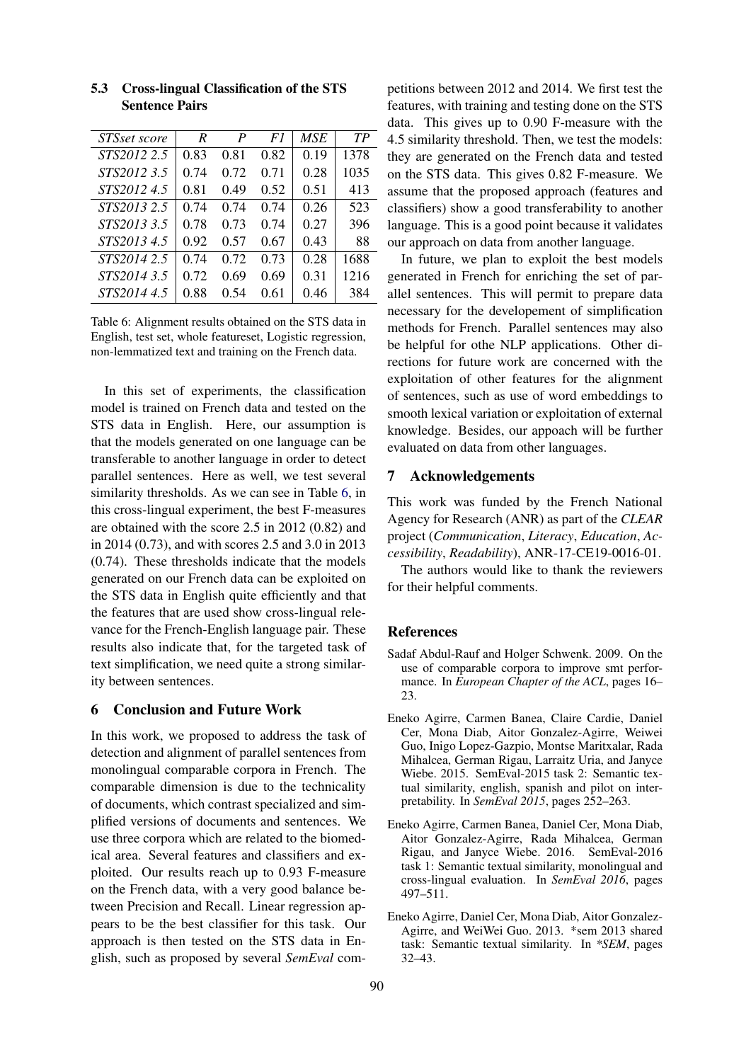| TP   |
|------|
|      |
| 1378 |
| 1035 |
| 413  |
| 523  |
| 396  |
| 88   |
| 1688 |
| 1216 |
| 384  |
|      |

## <span id="page-7-4"></span>5.3 Cross-lingual Classification of the STS Sentence Pairs

<span id="page-7-5"></span>Table 6: Alignment results obtained on the STS data in English, test set, whole featureset, Logistic regression, non-lemmatized text and training on the French data.

In this set of experiments, the classification model is trained on French data and tested on the STS data in English. Here, our assumption is that the models generated on one language can be transferable to another language in order to detect parallel sentences. Here as well, we test several similarity thresholds. As we can see in Table [6,](#page-7-5) in this cross-lingual experiment, the best F-measures are obtained with the score 2.5 in 2012 (0.82) and in 2014 (0.73), and with scores 2.5 and 3.0 in 2013 (0.74). These thresholds indicate that the models generated on our French data can be exploited on the STS data in English quite efficiently and that the features that are used show cross-lingual relevance for the French-English language pair. These results also indicate that, for the targeted task of text simplification, we need quite a strong similarity between sentences.

## 6 Conclusion and Future Work

In this work, we proposed to address the task of detection and alignment of parallel sentences from monolingual comparable corpora in French. The comparable dimension is due to the technicality of documents, which contrast specialized and simplified versions of documents and sentences. We use three corpora which are related to the biomedical area. Several features and classifiers and exploited. Our results reach up to 0.93 F-measure on the French data, with a very good balance between Precision and Recall. Linear regression appears to be the best classifier for this task. Our approach is then tested on the STS data in English, such as proposed by several *SemEval* com-

petitions between 2012 and 2014. We first test the features, with training and testing done on the STS data. This gives up to 0.90 F-measure with the 4.5 similarity threshold. Then, we test the models: they are generated on the French data and tested on the STS data. This gives 0.82 F-measure. We assume that the proposed approach (features and classifiers) show a good transferability to another language. This is a good point because it validates our approach on data from another language.

In future, we plan to exploit the best models generated in French for enriching the set of parallel sentences. This will permit to prepare data necessary for the developement of simplification methods for French. Parallel sentences may also be helpful for othe NLP applications. Other directions for future work are concerned with the exploitation of other features for the alignment of sentences, such as use of word embeddings to smooth lexical variation or exploitation of external knowledge. Besides, our appoach will be further evaluated on data from other languages.

#### 7 Acknowledgements

This work was funded by the French National Agency for Research (ANR) as part of the *CLEAR* project (*Communication*, *Literacy*, *Education*, *Accessibility*, *Readability*), ANR-17-CE19-0016-01.

The authors would like to thank the reviewers for their helpful comments.

## References

- <span id="page-7-0"></span>Sadaf Abdul-Rauf and Holger Schwenk. 2009. On the use of comparable corpora to improve smt performance. In *European Chapter of the ACL*, pages 16– 23.
- <span id="page-7-2"></span>Eneko Agirre, Carmen Banea, Claire Cardie, Daniel Cer, Mona Diab, Aitor Gonzalez-Agirre, Weiwei Guo, Inigo Lopez-Gazpio, Montse Maritxalar, Rada Mihalcea, German Rigau, Larraitz Uria, and Janyce Wiebe. 2015. SemEval-2015 task 2: Semantic textual similarity, english, spanish and pilot on interpretability. In *SemEval 2015*, pages 252–263.
- <span id="page-7-3"></span>Eneko Agirre, Carmen Banea, Daniel Cer, Mona Diab, Aitor Gonzalez-Agirre, Rada Mihalcea, German Rigau, and Janyce Wiebe. 2016. SemEval-2016 task 1: Semantic textual similarity, monolingual and cross-lingual evaluation. In *SemEval 2016*, pages 497–511.
- <span id="page-7-1"></span>Eneko Agirre, Daniel Cer, Mona Diab, Aitor Gonzalez-Agirre, and WeiWei Guo. 2013. \*sem 2013 shared task: Semantic textual similarity. In *\*SEM*, pages 32–43.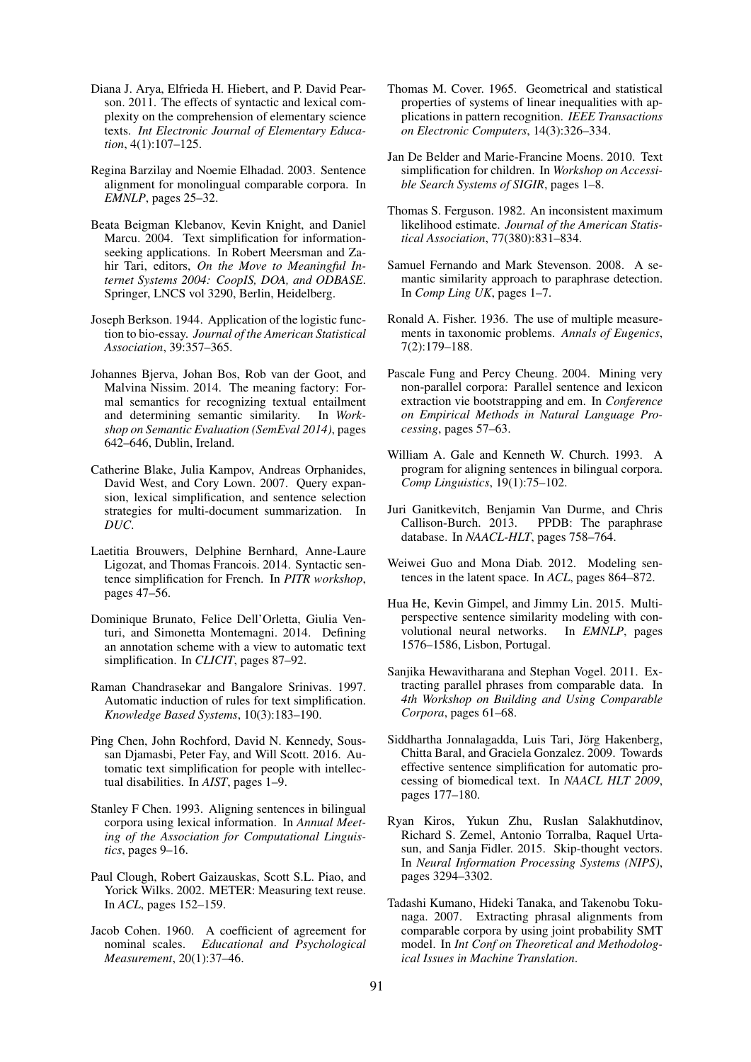- <span id="page-8-3"></span>Diana J. Arya, Elfrieda H. Hiebert, and P. David Pearson. 2011. The effects of syntactic and lexical complexity on the comprehension of elementary science texts. *Int Electronic Journal of Elementary Education*, 4(1):107–125.
- <span id="page-8-16"></span>Regina Barzilay and Noemie Elhadad. 2003. Sentence alignment for monolingual comparable corpora. In *EMNLP*, pages 25–32.
- <span id="page-8-7"></span>Beata Beigman Klebanov, Kevin Knight, and Daniel Marcu. 2004. Text simplification for informationseeking applications. In Robert Meersman and Zahir Tari, editors, *On the Move to Meaningful Internet Systems 2004: CoopIS, DOA, and ODBASE*. Springer, LNCS vol 3290, Berlin, Heidelberg.
- <span id="page-8-25"></span>Joseph Berkson. 1944. Application of the logistic function to bio-essay. *Journal of the American Statistical Association*, 39:357–365.
- <span id="page-8-20"></span>Johannes Bjerva, Johan Bos, Rob van der Goot, and Malvina Nissim. 2014. The meaning factory: Formal semantics for recognizing textual entailment and determining semantic similarity. In *Workshop on Semantic Evaluation (SemEval 2014)*, pages 642–646, Dublin, Ireland.
- <span id="page-8-6"></span>Catherine Blake, Julia Kampov, Andreas Orphanides, David West, and Cory Lown. 2007. Query expansion, lexical simplification, and sentence selection strategies for multi-document summarization. In *DUC*.
- <span id="page-8-21"></span>Laetitia Brouwers, Delphine Bernhard, Anne-Laure Ligozat, and Thomas Francois. 2014. Syntactic sentence simplification for French. In *PITR workshop*, pages 47–56.
- <span id="page-8-0"></span>Dominique Brunato, Felice Dell'Orletta, Giulia Venturi, and Simonetta Montemagni. 2014. Defining an annotation scheme with a view to automatic text simplification. In *CLICIT*, pages 87–92.
- <span id="page-8-4"></span>Raman Chandrasekar and Bangalore Srinivas. 1997. Automatic induction of rules for text simplification. *Knowledge Based Systems*, 10(3):183–190.
- <span id="page-8-2"></span>Ping Chen, John Rochford, David N. Kennedy, Soussan Djamasbi, Peter Fay, and Will Scott. 2016. Automatic text simplification for people with intellectual disabilities. In *AIST*, pages 1–9.
- <span id="page-8-9"></span>Stanley F Chen. 1993. Aligning sentences in bilingual corpora using lexical information. In *Annual Meeting of the Association for Computational Linguistics*, pages 9–16.
- <span id="page-8-13"></span>Paul Clough, Robert Gaizauskas, Scott S.L. Piao, and Yorick Wilks. 2002. METER: Measuring text reuse. In *ACL*, pages 152–159.
- <span id="page-8-22"></span>Jacob Cohen. 1960. A coefficient of agreement for nominal scales. *Educational and Psychological Measurement*, 20(1):37–46.
- <span id="page-8-24"></span>Thomas M. Cover. 1965. Geometrical and statistical properties of systems of linear inequalities with applications in pattern recognition. *IEEE Transactions on Electronic Computers*, 14(3):326–334.
- <span id="page-8-1"></span>Jan De Belder and Marie-Francine Moens. 2010. Text simplification for children. In *Workshop on Accessible Search Systems of SIGIR*, pages 1–8.
- <span id="page-8-26"></span>Thomas S. Ferguson. 1982. An inconsistent maximum likelihood estimate. *Journal of the American Statistical Association*, 77(380):831–834.
- <span id="page-8-15"></span>Samuel Fernando and Mark Stevenson. 2008. A semantic similarity approach to paraphrase detection. In *Comp Ling UK*, pages 1–7.
- <span id="page-8-23"></span>Ronald A. Fisher. 1936. The use of multiple measurements in taxonomic problems. *Annals of Eugenics*, 7(2):179–188.
- <span id="page-8-10"></span>Pascale Fung and Percy Cheung. 2004. Mining very non-parallel corpora: Parallel sentence and lexicon extraction vie bootstrapping and em. In *Conference on Empirical Methods in Natural Language Processing*, pages 57–63.
- <span id="page-8-8"></span>William A. Gale and Kenneth W. Church. 1993. A program for aligning sentences in bilingual corpora. *Comp Linguistics*, 19(1):75–102.
- <span id="page-8-14"></span>Juri Ganitkevitch, Benjamin Van Durme, and Chris Callison-Burch. 2013. PPDB: The paraphrase database. In *NAACL-HLT*, pages 758–764.
- <span id="page-8-17"></span>Weiwei Guo and Mona Diab. 2012. Modeling sentences in the latent space. In *ACL*, pages 864–872.
- <span id="page-8-19"></span>Hua He, Kevin Gimpel, and Jimmy Lin. 2015. Multiperspective sentence similarity modeling with con-<br>volutional neural networks. In *EMNLP*, pages volutional neural networks. 1576–1586, Lisbon, Portugal.
- <span id="page-8-11"></span>Sanjika Hewavitharana and Stephan Vogel. 2011. Extracting parallel phrases from comparable data. In *4th Workshop on Building and Using Comparable Corpora*, pages 61–68.
- <span id="page-8-5"></span>Siddhartha Jonnalagadda, Luis Tari, Jörg Hakenberg, Chitta Baral, and Graciela Gonzalez. 2009. Towards effective sentence simplification for automatic processing of biomedical text. In *NAACL HLT 2009*, pages 177–180.
- <span id="page-8-18"></span>Ryan Kiros, Yukun Zhu, Ruslan Salakhutdinov, Richard S. Zemel, Antonio Torralba, Raquel Urtasun, and Sanja Fidler. 2015. Skip-thought vectors. In *Neural Information Processing Systems (NIPS)*, pages 3294–3302.
- <span id="page-8-12"></span>Tadashi Kumano, Hideki Tanaka, and Takenobu Tokunaga. 2007. Extracting phrasal alignments from comparable corpora by using joint probability SMT model. In *Int Conf on Theoretical and Methodological Issues in Machine Translation*.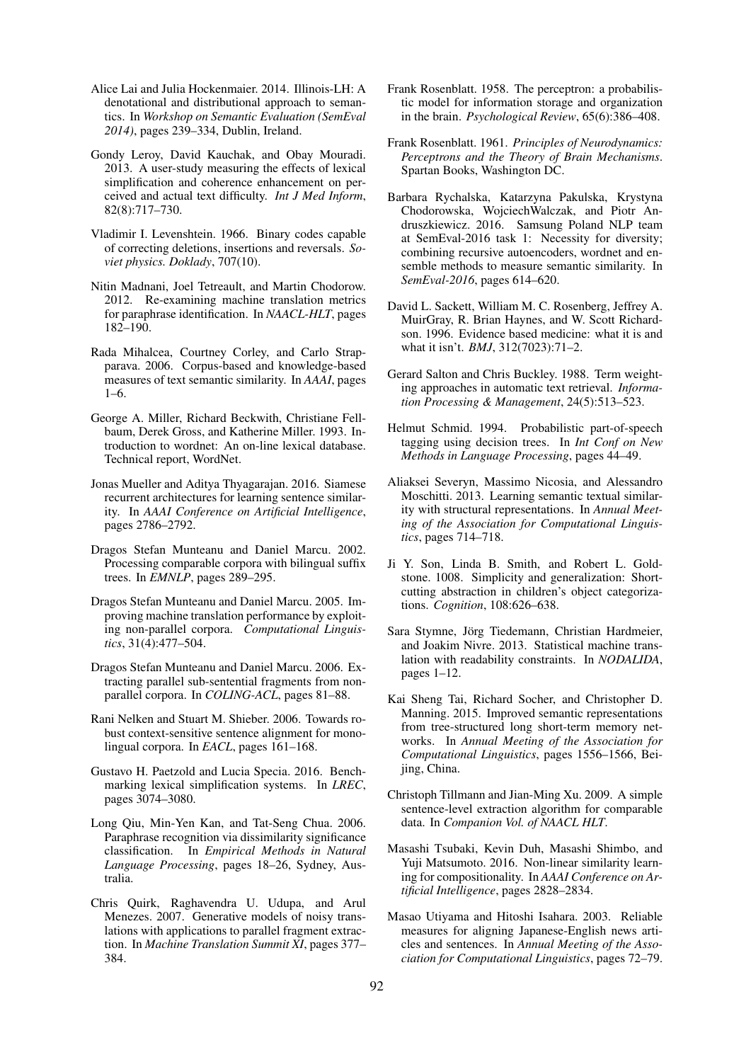- <span id="page-9-15"></span>Alice Lai and Julia Hockenmaier. 2014. Illinois-LH: A denotational and distributional approach to semantics. In *Workshop on Semantic Evaluation (SemEval 2014)*, pages 239–334, Dublin, Ireland.
- <span id="page-9-2"></span>Gondy Leroy, David Kauchak, and Obay Mouradi. 2013. A user-study measuring the effects of lexical simplification and coherence enhancement on perceived and actual text difficulty. *Int J Med Inform*, 82(8):717–730.
- <span id="page-9-24"></span>Vladimir I. Levenshtein. 1966. Binary codes capable of correcting deletions, insertions and reversals. *Soviet physics. Doklady*, 707(10).
- <span id="page-9-10"></span>Nitin Madnani, Joel Tetreault, and Martin Chodorow. 2012. Re-examining machine translation metrics for paraphrase identification. In *NAACL-HLT*, pages 182–190.
- <span id="page-9-14"></span>Rada Mihalcea, Courtney Corley, and Carlo Strapparava. 2006. Corpus-based and knowledge-based measures of text semantic similarity. In *AAAI*, pages 1–6.
- <span id="page-9-13"></span>George A. Miller, Richard Beckwith, Christiane Fellbaum, Derek Gross, and Katherine Miller. 1993. Introduction to wordnet: An on-line lexical database. Technical report, WordNet.
- <span id="page-9-19"></span>Jonas Mueller and Aditya Thyagarajan. 2016. Siamese recurrent architectures for learning sentence similarity. In *AAAI Conference on Artificial Intelligence*, pages 2786–2792.
- <span id="page-9-6"></span>Dragos Stefan Munteanu and Daniel Marcu. 2002. Processing comparable corpora with bilingual suffix trees. In *EMNLP*, pages 289–295.
- <span id="page-9-7"></span>Dragos Stefan Munteanu and Daniel Marcu. 2005. Improving machine translation performance by exploiting non-parallel corpora. *Computational Linguistics*, 31(4):477–504.
- <span id="page-9-5"></span>Dragos Stefan Munteanu and Daniel Marcu. 2006. Extracting parallel sub-sentential fragments from nonparallel corpora. In *COLING-ACL*, pages 81–88.
- <span id="page-9-12"></span>Rani Nelken and Stuart M. Shieber. 2006. Towards robust context-sensitive sentence alignment for monolingual corpora. In *EACL*, pages 161–168.
- <span id="page-9-1"></span>Gustavo H. Paetzold and Lucia Specia. 2016. Benchmarking lexical simplification systems. In *LREC*, pages 3074–3080.
- <span id="page-9-11"></span>Long Qiu, Min-Yen Kan, and Tat-Seng Chua. 2006. Paraphrase recognition via dissimilarity significance classification. In *Empirical Methods in Natural Language Processing*, pages 18–26, Sydney, Australia.
- <span id="page-9-9"></span>Chris Quirk, Raghavendra U. Udupa, and Arul Menezes. 2007. Generative models of noisy translations with applications to parallel fragment extraction. In *Machine Translation Summit XI*, pages 377– 384.
- <span id="page-9-25"></span>Frank Rosenblatt. 1958. The perceptron: a probabilistic model for information storage and organization in the brain. *Psychological Review*, 65(6):386–408.
- <span id="page-9-26"></span>Frank Rosenblatt. 1961. *Principles of Neurodynamics: Perceptrons and the Theory of Brain Mechanisms*. Spartan Books, Washington DC.
- <span id="page-9-20"></span>Barbara Rychalska, Katarzyna Pakulska, Krystyna Chodorowska, WojciechWalczak, and Piotr Andruszkiewicz. 2016. Samsung Poland NLP team at SemEval-2016 task 1: Necessity for diversity; combining recursive autoencoders, wordnet and ensemble methods to measure semantic similarity. In *SemEval-2016*, pages 614–620.
- <span id="page-9-21"></span>David L. Sackett, William M. C. Rosenberg, Jeffrey A. MuirGray, R. Brian Haynes, and W. Scott Richardson. 1996. Evidence based medicine: what it is and what it isn't. *BMJ*, 312(7023):71–2.
- <span id="page-9-23"></span>Gerard Salton and Chris Buckley. 1988. Term weighting approaches in automatic text retrieval. *Information Processing & Management*, 24(5):513–523.
- <span id="page-9-22"></span>Helmut Schmid. 1994. Probabilistic part-of-speech tagging using decision trees. In *Int Conf on New Methods in Language Processing*, pages 44–49.
- <span id="page-9-16"></span>Aliaksei Severyn, Massimo Nicosia, and Alessandro Moschitti. 2013. Learning semantic textual similarity with structural representations. In *Annual Meeting of the Association for Computational Linguistics*, pages 714–718.
- <span id="page-9-0"></span>Ji Y. Son, Linda B. Smith, and Robert L. Goldstone. 1008. Simplicity and generalization: Shortcutting abstraction in children's object categorizations. *Cognition*, 108:626–638.
- <span id="page-9-3"></span>Sara Stymne, Jörg Tiedemann, Christian Hardmeier, and Joakim Nivre. 2013. Statistical machine translation with readability constraints. In *NODALIDA*, pages 1–12.
- <span id="page-9-17"></span>Kai Sheng Tai, Richard Socher, and Christopher D. Manning. 2015. Improved semantic representations from tree-structured long short-term memory networks. In *Annual Meeting of the Association for Computational Linguistics*, pages 1556–1566, Beijing, China.
- <span id="page-9-8"></span>Christoph Tillmann and Jian-Ming Xu. 2009. A simple sentence-level extraction algorithm for comparable data. In *Companion Vol. of NAACL HLT*.
- <span id="page-9-18"></span>Masashi Tsubaki, Kevin Duh, Masashi Shimbo, and Yuji Matsumoto. 2016. Non-linear similarity learning for compositionality. In *AAAI Conference on Artificial Intelligence*, pages 2828–2834.
- <span id="page-9-4"></span>Masao Utiyama and Hitoshi Isahara. 2003. Reliable measures for aligning Japanese-English news articles and sentences. In *Annual Meeting of the Association for Computational Linguistics*, pages 72–79.